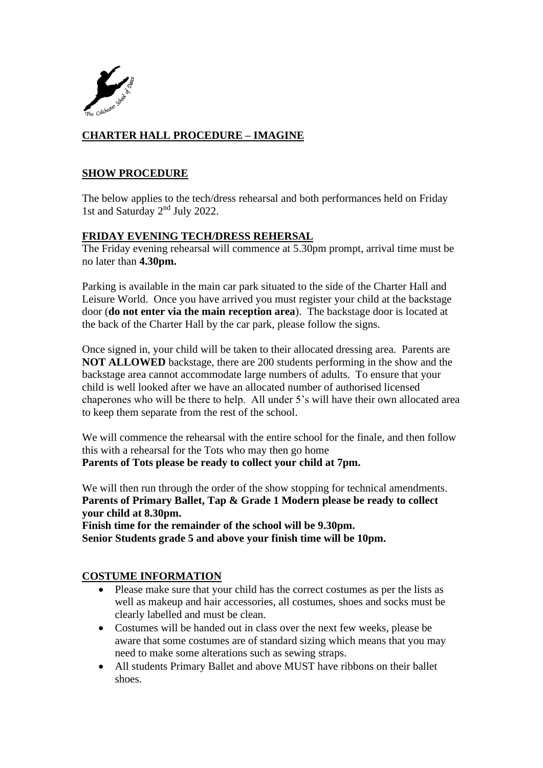

# **CHARTER HALL PROCEDURE – IMAGINE**

#### **SHOW PROCEDURE**

The below applies to the tech/dress rehearsal and both performances held on Friday 1st and Saturday 2<sup>nd</sup> July 2022.

## **FRIDAY EVENING TECH/DRESS REHERSAL**

The Friday evening rehearsal will commence at 5.30pm prompt, arrival time must be no later than **4.30pm.**

Parking is available in the main car park situated to the side of the Charter Hall and Leisure World. Once you have arrived you must register your child at the backstage door (**do not enter via the main reception area**). The backstage door is located at the back of the Charter Hall by the car park, please follow the signs.

Once signed in, your child will be taken to their allocated dressing area. Parents are **NOT ALLOWED** backstage, there are 200 students performing in the show and the backstage area cannot accommodate large numbers of adults. To ensure that your child is well looked after we have an allocated number of authorised licensed chaperones who will be there to help. All under 5's will have their own allocated area to keep them separate from the rest of the school.

We will commence the rehearsal with the entire school for the finale, and then follow this with a rehearsal for the Tots who may then go home **Parents of Tots please be ready to collect your child at 7pm.**

We will then run through the order of the show stopping for technical amendments. **Parents of Primary Ballet, Tap & Grade 1 Modern please be ready to collect your child at 8.30pm.**

**Finish time for the remainder of the school will be 9.30pm. Senior Students grade 5 and above your finish time will be 10pm.**

#### **COSTUME INFORMATION**

- Please make sure that your child has the correct costumes as per the lists as well as makeup and hair accessories, all costumes, shoes and socks must be clearly labelled and must be clean.
- Costumes will be handed out in class over the next few weeks, please be aware that some costumes are of standard sizing which means that you may need to make some alterations such as sewing straps.
- All students Primary Ballet and above MUST have ribbons on their ballet shoes.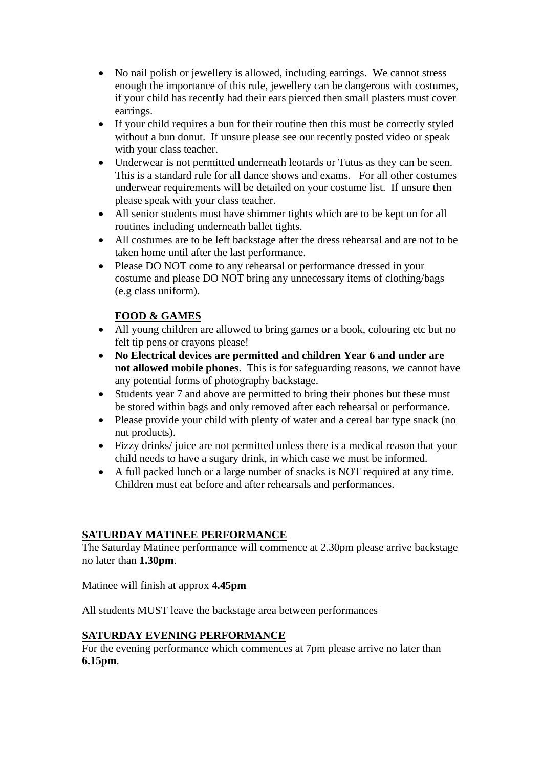- No nail polish or jewellery is allowed, including earrings. We cannot stress enough the importance of this rule, jewellery can be dangerous with costumes, if your child has recently had their ears pierced then small plasters must cover earrings.
- If your child requires a bun for their routine then this must be correctly styled without a bun donut. If unsure please see our recently posted video or speak with your class teacher.
- Underwear is not permitted underneath leotards or Tutus as they can be seen. This is a standard rule for all dance shows and exams. For all other costumes underwear requirements will be detailed on your costume list. If unsure then please speak with your class teacher.
- All senior students must have shimmer tights which are to be kept on for all routines including underneath ballet tights.
- All costumes are to be left backstage after the dress rehearsal and are not to be taken home until after the last performance.
- Please DO NOT come to any rehearsal or performance dressed in your costume and please DO NOT bring any unnecessary items of clothing/bags (e.g class uniform).

## **FOOD & GAMES**

- All young children are allowed to bring games or a book, colouring etc but no felt tip pens or crayons please!
- **No Electrical devices are permitted and children Year 6 and under are not allowed mobile phones**. This is for safeguarding reasons, we cannot have any potential forms of photography backstage.
- Students year 7 and above are permitted to bring their phones but these must be stored within bags and only removed after each rehearsal or performance.
- Please provide your child with plenty of water and a cereal bar type snack (no nut products).
- Fizzy drinks/ juice are not permitted unless there is a medical reason that your child needs to have a sugary drink, in which case we must be informed.
- A full packed lunch or a large number of snacks is NOT required at any time. Children must eat before and after rehearsals and performances.

## **SATURDAY MATINEE PERFORMANCE**

The Saturday Matinee performance will commence at 2.30pm please arrive backstage no later than **1.30pm**.

Matinee will finish at approx **4.45pm**

All students MUST leave the backstage area between performances

## **SATURDAY EVENING PERFORMANCE**

For the evening performance which commences at 7pm please arrive no later than **6.15pm**.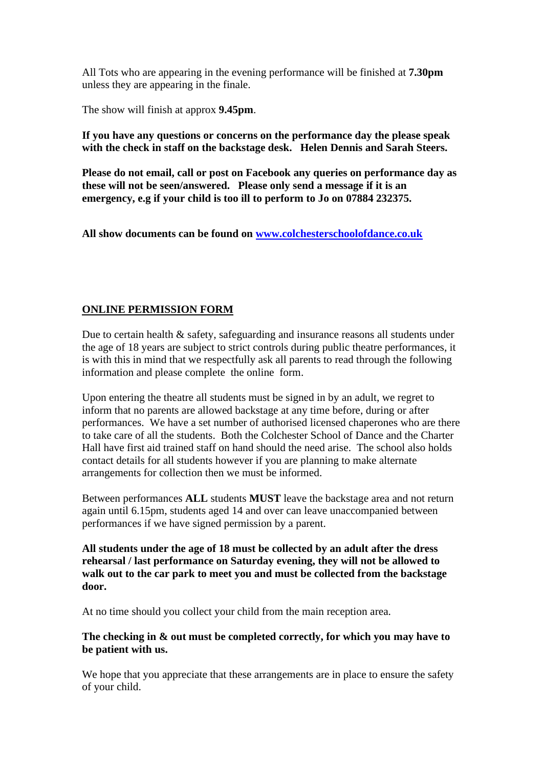All Tots who are appearing in the evening performance will be finished at **7.30pm** unless they are appearing in the finale.

The show will finish at approx **9.45pm**.

**If you have any questions or concerns on the performance day the please speak with the check in staff on the backstage desk. Helen Dennis and Sarah Steers.**

**Please do not email, call or post on Facebook any queries on performance day as these will not be seen/answered. Please only send a message if it is an emergency, e.g if your child is too ill to perform to Jo on 07884 232375.**

**All show documents can be found on [www.colchesterschoolofdance.co.uk](http://www.colchesterschoolofdance.co.uk/)**

## **ONLINE PERMISSION FORM**

Due to certain health & safety, safeguarding and insurance reasons all students under the age of 18 years are subject to strict controls during public theatre performances, it is with this in mind that we respectfully ask all parents to read through the following information and please complete the online form.

Upon entering the theatre all students must be signed in by an adult, we regret to inform that no parents are allowed backstage at any time before, during or after performances. We have a set number of authorised licensed chaperones who are there to take care of all the students. Both the Colchester School of Dance and the Charter Hall have first aid trained staff on hand should the need arise. The school also holds contact details for all students however if you are planning to make alternate arrangements for collection then we must be informed.

Between performances **ALL** students **MUST** leave the backstage area and not return again until 6.15pm, students aged 14 and over can leave unaccompanied between performances if we have signed permission by a parent.

**All students under the age of 18 must be collected by an adult after the dress rehearsal / last performance on Saturday evening, they will not be allowed to walk out to the car park to meet you and must be collected from the backstage door.** 

At no time should you collect your child from the main reception area.

**The checking in & out must be completed correctly, for which you may have to be patient with us.**

We hope that you appreciate that these arrangements are in place to ensure the safety of your child.